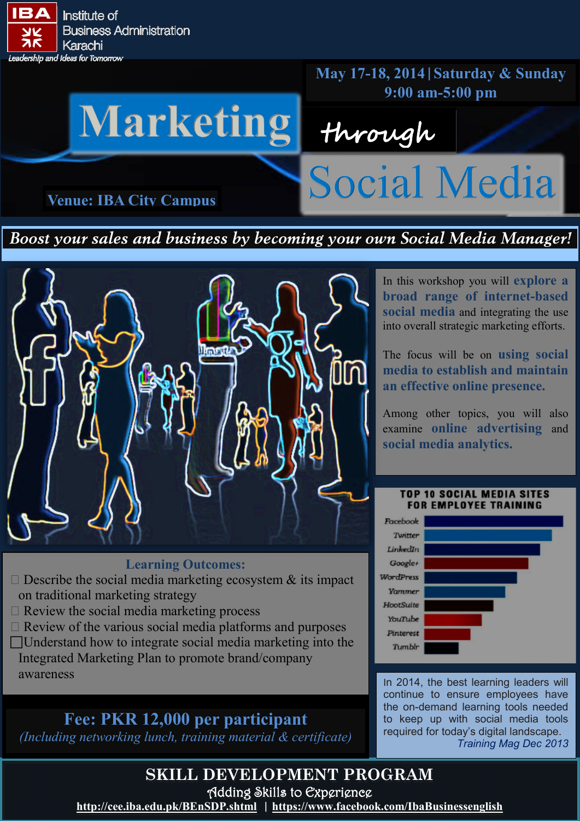

**May 17-18, 2014|Saturday & Sunday**

# Warketing through Social Media **Venue: IBA City Campus**

*Boost your sales and business by becoming your own Social Media Manager!*



#### **Learning Outcomes:**

- $\Box$  Describe the social media marketing ecosystem  $\&$  its impact on traditional marketing strategy
- $\Box$  Review the social media marketing process
- $\Box$  Review of the various social media platforms and purposes
- Understand how to integrate social media marketing into the Integrated Marketing Plan to promote brand/company awareness

### **Fee: PKR 12,000 per participant**

*(Including networking lunch, training material & certificate)*

In this workshop you will **explore a broad range of internet-based social media** and integrating the use into overall strategic marketing efforts.

The focus will be on **using social media to establish and maintain an effective online presence.** 

Among other topics, you will also examine **online advertising** and **social media analytics.**

#### **TOP 10 SOCIAL MEDIA SITES FOR EMPLOYEE TRAINING**



In 2014, the best learning leaders will continue to ensure employees have the on-demand learning tools needed to keep up with social media tools required for today's digital landscape. *Training Mag Dec 2013*

**SKILL DEVELOPMENT PROGRAM** Adding Skills to Experience

**<http://cee.iba.edu.pk/BEnSDP.shtml>| [https://www.facebook.com/IbaBusinessenglish](https://www.facebook.com/#!/IbaBusinessenglish)**